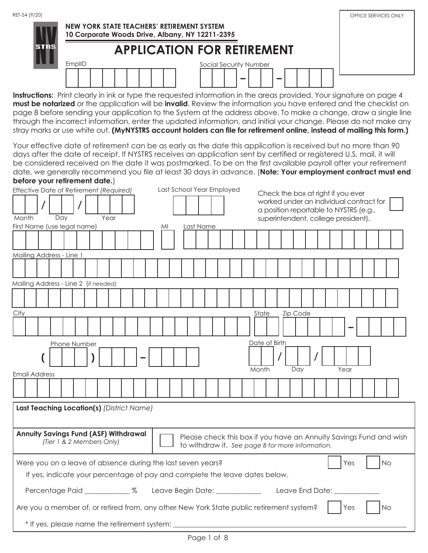| RET-54 (9/20) | NEW YORK STATE TEACHERS' RETIREMENT SYSTEM<br>10 Corporate Woods Drive, Albany, NY 12211-2395<br><b>APPLICATION FOR RETIREMENT</b> | OFFICE SERVICES ONLY |
|---------------|------------------------------------------------------------------------------------------------------------------------------------|----------------------|
|               | EmplID<br>Social Security Number<br>-                                                                                              |                      |

**Instructions:** Print clearly in ink or type the requested information in the areas provided. Your signature on page 4 **must be notarized** or the application will be **invalid**. Review the information you have entered and the checklist on page 8 before sending your application to the System at the address above. To make a change, draw a single line through the incorrect information, enter the updated information, and initial your change. Please do not make any stray marks or use white out. **(MyNYSTRS account holders can file for retirement online, instead of mailing this form.)**

Your effective date of retirement can be as early as the date this application is received but no more than 90 days after the date of receipt. If NYSTRS receives an application sent by certified or registered U.S. mail, it will be considered received on the date it was postmarked. To be on the first available payroll after your retirement date, we generally recommend you file at least 30 days in advance. (**Note: Your employment contract must end before your retirement date.**)

| Effective Date of Retirement (Required)                                                  | Last School Year Employed | Check the box at right if you ever<br>worked under an individual contract for<br>a position reportable to NYSTRS (e.g., |
|------------------------------------------------------------------------------------------|---------------------------|-------------------------------------------------------------------------------------------------------------------------|
| Dav<br>Year<br>Month                                                                     |                           | superintendent, college president).                                                                                     |
| First Name (use legal name)                                                              | Last Name<br>MI           |                                                                                                                         |
|                                                                                          |                           |                                                                                                                         |
| Mailing Address - Line 1                                                                 |                           |                                                                                                                         |
|                                                                                          |                           |                                                                                                                         |
| Mailing Address - Line 2 (if needed)                                                     |                           |                                                                                                                         |
|                                                                                          |                           |                                                                                                                         |
| City                                                                                     |                           | Zip Code<br>State                                                                                                       |
|                                                                                          |                           |                                                                                                                         |
| Phone Number                                                                             |                           | Date of Birth                                                                                                           |
|                                                                                          |                           | Month                                                                                                                   |
| Email Address                                                                            |                           | Day<br>Year                                                                                                             |
|                                                                                          |                           |                                                                                                                         |
| Last Teaching Location(s) (District Name)                                                |                           |                                                                                                                         |
|                                                                                          |                           |                                                                                                                         |
| <b>Annuity Savings Fund (ASF) Withdrawal</b><br>(Tier 1 & 2 Members Only)                |                           | Please check this box if you have an Annuity Savings Fund and wish<br>to withdraw it. See page 8 for more information.  |
| Were you on a leave of absence during the last seven years?                              |                           | Yes<br>No.                                                                                                              |
| If yes, indicate your percentage of pay and complete the leave dates below.              |                           |                                                                                                                         |
|                                                                                          |                           |                                                                                                                         |
| Are you a member of, or retired from, any other New York State public retirement system? |                           | Yes<br><b>No</b>                                                                                                        |
| * If yes, please name the retirement system: _________                                   |                           |                                                                                                                         |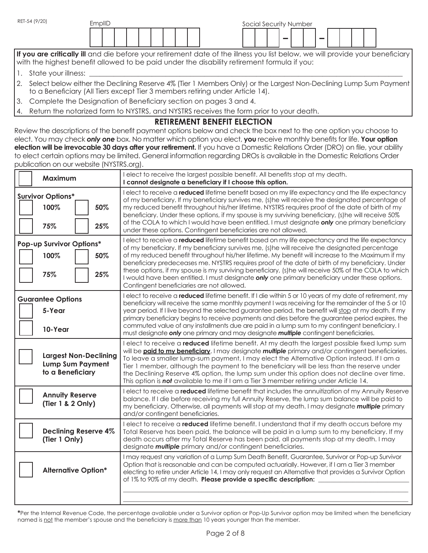| RET-54 (9/20) | EmplID |  |  |  |  |  | Social Security Number |  |        |  |  |  |
|---------------|--------|--|--|--|--|--|------------------------|--|--------|--|--|--|
|               |        |  |  |  |  |  |                        |  | $\sim$ |  |  |  |

If you are critically ill and die before your retirement date of the illness you list below, we will provide your beneficiary with the highest benefit allowed to be paid under the disability retirement formula if you:

- 1. State your illness:
- 2. Select below either the Declining Reserve 4% (Tier 1 Members Only) or the Largest Non-Declining Lump Sum Payment to a Beneficiary (All Tiers except Tier 3 members retiring under Article 14).
- 3. Complete the Designation of Beneficiary section on pages 3 and 4.
- 4. Return the notarized form to NYSTRS, and NYSTRS receives the form prior to your death.

# **RETIREMENT BENEFIT ELECTION**

Review the descriptions of the benefit payment options below and check the box next to the one option you choose to elect. You may check *only one* box. No matter which option you elect, **you** receive monthly benefits for life. **Your option election will be irrevocable 30 days after your retirement.** If you have a Domestic Relations Order (DRO) on file, your ability to elect certain options may be limited. General information regarding DROs is available in the Domestic Relations Order publication on our website (NYSTRS.org).

| Maximum                                                                     | I elect to receive the largest possible benefit. All benefits stop at my death.<br>I cannot designate a beneficiary if I choose this option.                                                                                                                                                                                                                                                                                                                                                                                                                                                                                                                              |
|-----------------------------------------------------------------------------|---------------------------------------------------------------------------------------------------------------------------------------------------------------------------------------------------------------------------------------------------------------------------------------------------------------------------------------------------------------------------------------------------------------------------------------------------------------------------------------------------------------------------------------------------------------------------------------------------------------------------------------------------------------------------|
| <b>Survivor Options*</b><br>100%<br>50%<br>75%<br>25%                       | I elect to receive a <b>reduced</b> lifetime benefit based on my life expectancy and the life expectancy<br>of my beneficiary. If my beneficiary survives me, (s)he will receive the designated percentage of<br>my reduced benefit throughout his/her lifetime. NYSTRS requires proof of the date of birth of my<br>beneficiary. Under these options, if my spouse is my surviving beneficiary, (s)he will receive 50%<br>of the COLA to which I would have been entitled. I must designate only one primary beneficiary<br>under these options. Contingent beneficiaries are not allowed.                                                                               |
| Pop-up Survivor Options*<br>100%<br>50%<br>75%<br>25%                       | I elect to receive a <b>reduced</b> lifetime benefit based on my life expectancy and the life expectancy<br>of my beneficiary. If my beneficiary survives me, (s) he will receive the designated percentage<br>of my reduced benefit throughout his/her lifetime. My benefit will increase to the Maximum if my<br>beneficiary predeceases me. NYSTRS requires proof of the date of birth of my beneficiary. Under<br>these options, if my spouse is my surviving beneficiary, (s)he will receive 50% of the COLA to which<br>I would have been entitled. I must designate only one primary beneficiary under these options.<br>Contingent beneficiaries are not allowed. |
| <b>Guarantee Options</b><br>5-Year<br>10-Year                               | elect to receive a <b>reduced</b> lifetime benefit. If I die within 5 or 10 years of my date of retirement, my<br>beneficiary will receive the same monthly payment I was receiving for the remainder of the 5 or 10<br>year period. If I live beyond the selected guarantee period, the benefit will stop at my death. If my<br>primary beneficiary begins to receive payments and dies before the guarantee period expires, the<br>commuted value of any installments due are paid in a lump sum to my contingent beneficiary. I<br>must designate only one primary and may designate multiple contingent beneficiaries.                                                |
| <b>Largest Non-Declining</b><br><b>Lump Sum Payment</b><br>to a Beneficiary | I elect to receive a reduced lifetime benefit. At my death the largest possible fixed lump sum<br>will be <b>paid to my beneficiary</b> . I may designate <i>multiple</i> primary and/or contingent beneficiaries.<br>To leave a smaller lump-sum payment, I may elect the Alternative Option instead. If I am a<br>Tier 1 member, although the payment to the beneficiary will be less than the reserve under<br>the Declining Reserve 4% option, the lump sum under this option does not decline over time.<br>This option is not available to me if I am a Tier 3 member retiring under Article 14.                                                                    |
| <b>Annuity Reserve</b><br>(Tier 1 & 2 Only)                                 | I elect to receive a reduced lifetime benefit that includes the annuitization of my Annuity Reserve<br>balance. If I die before receiving my full Annuity Reserve, the lump sum balance will be paid to<br>my beneficiary. Otherwise, all payments will stop at my death. I may designate multiple primary<br>and/or contingent beneficiaries.                                                                                                                                                                                                                                                                                                                            |
| <b>Declining Reserve 4%</b><br>(Tier 1 Only)                                | I elect to receive a reduced lifetime benefit. I understand that if my death occurs before my<br>Total Reserve has been paid, the balance will be paid in a lump sum to my beneficiary. If my<br>death occurs after my Total Reserve has been paid, all payments stop at my death. I may<br>designate <b>multiple</b> primary and/or contingent beneficiaries.                                                                                                                                                                                                                                                                                                            |
| <b>Alternative Option*</b>                                                  | I may request any variation of a Lump Sum Death Benefit, Guarantee, Survivor or Pop-up Survivor<br>Option that is reasonable and can be computed actuarially. However, if I am a Tier 3 member<br>electing to retire under Article 14, I may only request an Alternative that provides a Survivor Option<br>of 1% to 90% at my death. Please provide a specific description:                                                                                                                                                                                                                                                                                              |

**\***Per the Internal Revenue Code, the percentage available under a Survivor option or Pop-Up Survivor option may be limited when the beneficiary named is not the member's spouse and the beneficiary is more than 10 years younger than the member.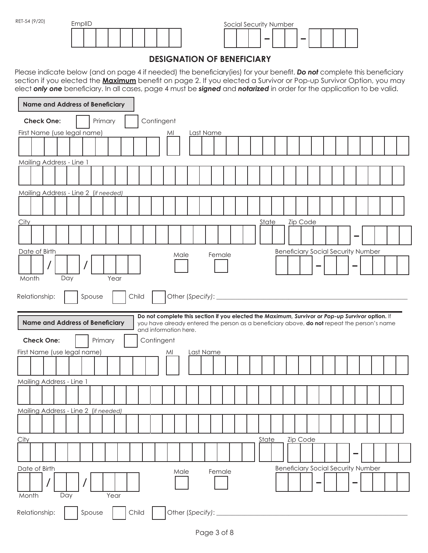| RET-54 (9/20) | EmplID |  |  |  |  | Social Security Number |  |  |               |  |  |
|---------------|--------|--|--|--|--|------------------------|--|--|---------------|--|--|
|               |        |  |  |  |  |                        |  |  | $\rightarrow$ |  |  |

# **DESIGNATION OF BENEFICIARY**

Please indicate below (and on page 4 if needed) the beneficiary(ies) for your benefit. *Do not* complete this beneficiary section if you elected the **Maximum** benefit on page 2. If you elected a Survivor or Pop-up Survivor Option, you may elect *only one* beneficiary. In all cases, page 4 must be *signed* and *notarized* in order for the application to be valid.

| <b>Name and Address of Beneficiary</b> |         |       |                                                                                                                                                                                                |      |                         |  |       |              |                                           |  |  |  |  |
|----------------------------------------|---------|-------|------------------------------------------------------------------------------------------------------------------------------------------------------------------------------------------------|------|-------------------------|--|-------|--------------|-------------------------------------------|--|--|--|--|
| <b>Check One:</b>                      | Primary |       | Contingent                                                                                                                                                                                     |      |                         |  |       |              |                                           |  |  |  |  |
| First Name (use legal name)            |         |       |                                                                                                                                                                                                | MI   | Last Name               |  |       |              |                                           |  |  |  |  |
|                                        |         |       |                                                                                                                                                                                                |      |                         |  |       |              |                                           |  |  |  |  |
| Mailing Address - Line 1               |         |       |                                                                                                                                                                                                |      |                         |  |       |              |                                           |  |  |  |  |
|                                        |         |       |                                                                                                                                                                                                |      |                         |  |       |              |                                           |  |  |  |  |
| Mailing Address - Line 2 (if needed)   |         |       |                                                                                                                                                                                                |      |                         |  |       |              |                                           |  |  |  |  |
|                                        |         |       |                                                                                                                                                                                                |      |                         |  |       |              |                                           |  |  |  |  |
| <u>City</u>                            |         |       |                                                                                                                                                                                                |      |                         |  |       | <b>State</b> | Zip Code                                  |  |  |  |  |
|                                        |         |       |                                                                                                                                                                                                |      |                         |  |       |              |                                           |  |  |  |  |
| Date of Birth                          |         |       |                                                                                                                                                                                                |      |                         |  |       |              | <b>Beneficiary Social Security Number</b> |  |  |  |  |
| $\prime$                               |         |       |                                                                                                                                                                                                | Male | Female                  |  |       |              |                                           |  |  |  |  |
| Day<br>Month                           | Year    |       |                                                                                                                                                                                                |      |                         |  |       |              |                                           |  |  |  |  |
|                                        |         |       |                                                                                                                                                                                                |      |                         |  |       |              |                                           |  |  |  |  |
| Relationship:                          | Spouse  | Child |                                                                                                                                                                                                |      | Other (Specify): ______ |  |       |              |                                           |  |  |  |  |
|                                        |         |       |                                                                                                                                                                                                |      |                         |  |       |              |                                           |  |  |  |  |
| <b>Name and Address of Beneficiary</b> |         |       | Do not complete this section if you elected the Maximum, Survivor or Pop-up Survivor option. If<br>you have already entered the person as a beneficiary above, do not repeat the person's name |      |                         |  |       |              |                                           |  |  |  |  |
| <b>Check One:</b>                      | Primary |       | and information here.<br>Contingent                                                                                                                                                            |      |                         |  |       |              |                                           |  |  |  |  |
| First Name (use legal name)            |         |       |                                                                                                                                                                                                | MI   | Last Name               |  |       |              |                                           |  |  |  |  |
|                                        |         |       |                                                                                                                                                                                                |      |                         |  |       |              |                                           |  |  |  |  |
| Mailing Address - Line 1               |         |       |                                                                                                                                                                                                |      |                         |  |       |              |                                           |  |  |  |  |
|                                        |         |       |                                                                                                                                                                                                |      |                         |  |       |              |                                           |  |  |  |  |
| Mailing Address - Line 2 (if needed)   |         |       |                                                                                                                                                                                                |      |                         |  |       |              |                                           |  |  |  |  |
|                                        |         |       |                                                                                                                                                                                                |      |                         |  |       |              |                                           |  |  |  |  |
|                                        |         |       |                                                                                                                                                                                                |      |                         |  |       |              |                                           |  |  |  |  |
| <b>City</b>                            |         |       |                                                                                                                                                                                                |      |                         |  | State |              | Zip Code                                  |  |  |  |  |
| Date of Birth                          |         |       |                                                                                                                                                                                                |      |                         |  |       |              | <b>Beneficiary Social Security Number</b> |  |  |  |  |
| Month<br>Day                           | Year    |       |                                                                                                                                                                                                | Male | Female                  |  |       |              |                                           |  |  |  |  |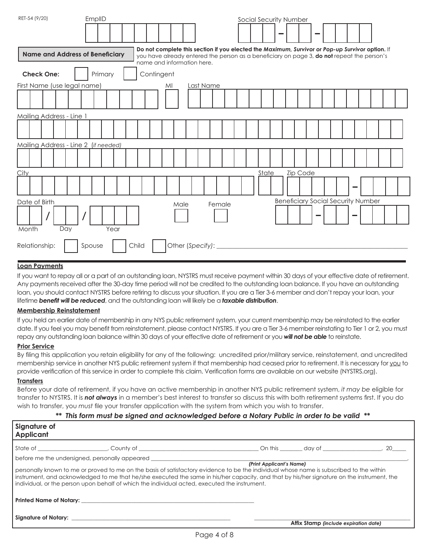| RET-54 (9/20)                          | EmplID  |                                                                                                                                                                                                                             | Social Security Number |                                           |  |
|----------------------------------------|---------|-----------------------------------------------------------------------------------------------------------------------------------------------------------------------------------------------------------------------------|------------------------|-------------------------------------------|--|
| <b>Name and Address of Beneficiary</b> |         | Do not complete this section if you elected the Maximum, Survivor or Pop-up Survivor option. If<br>you have already entered the person as a beneficiary on page 3, do not repeat the person's<br>name and information here. |                        |                                           |  |
| <b>Check One:</b>                      | Primary | Contingent                                                                                                                                                                                                                  |                        |                                           |  |
| First Name (use legal name)            |         | Last Name<br>MI                                                                                                                                                                                                             |                        |                                           |  |
|                                        |         |                                                                                                                                                                                                                             |                        |                                           |  |
| Mailing Address - Line 1               |         |                                                                                                                                                                                                                             |                        |                                           |  |
|                                        |         |                                                                                                                                                                                                                             |                        |                                           |  |
| Mailing Address - Line 2 (if needed)   |         |                                                                                                                                                                                                                             |                        |                                           |  |
|                                        |         |                                                                                                                                                                                                                             |                        |                                           |  |
| City                                   |         |                                                                                                                                                                                                                             | State                  | <b>Zip Code</b>                           |  |
|                                        |         |                                                                                                                                                                                                                             |                        |                                           |  |
| Date of Birth                          |         | Male                                                                                                                                                                                                                        | Female                 | <b>Beneficiary Social Security Number</b> |  |
|                                        |         |                                                                                                                                                                                                                             |                        |                                           |  |
| Day<br>Month                           | Year    |                                                                                                                                                                                                                             |                        |                                           |  |
| Relationship:                          | Spouse  | Child<br>Other (Specify):                                                                                                                                                                                                   |                        |                                           |  |

## **Loan Payments**

If you want to repay all or a part of an outstanding loan, NYSTRS must receive payment within 30 days of your effective date of retirement. Any payments received after the 30-day time period will not be credited to the outstanding loan balance. If you have an outstanding loan, you should contact NYSTRS before retiring to discuss your situation. If you are a Tier 3-6 member and don't repay your loan, your lifetime *benefit will be reduced*, and the outstanding loan will likely be a *taxable distribution*.

#### **Membership Reinstatement**

If you held an earlier date of membership in any NYS public retirement system, your current membership may be reinstated to the earlier date. If you feel you may benefit from reinstatement, please contact NYSTRS. If you are a Tier 3-6 member reinstating to Tier 1 or 2, you must repay any outstanding loan balance within 30 days of your effective date of retirement or you *will not be able* to reinstate.

#### **Prior Service**

By filing this application you retain eligibility for any of the following: uncredited prior/military service, reinstatement, and uncredited membership service in another NYS public retirement system if that membership had ceased prior to retirement. It is necessary for you to provide verification of this service in order to complete this claim. Verification forms are available on our website (NYSTRS.org).

#### **Transfers**

Before your date of retirement, if you have an active membership in another NYS public retirement system, *it may be* eligible for transfer to NYSTRS. It is *not always* in a member's best interest to transfer so discuss this with both retirement systems first. If you do wish to transfer, you *must* file your transfer application with the system from which you wish to transfer.

#### *\*\* This form must be signed and acknowledged before a Notary Public in order to be valid \*\**

| Signature of<br><b>Applicant</b> |                                                                                                                                                                                                                                                                                                                                                                                                                                           |                          |                                       |  |
|----------------------------------|-------------------------------------------------------------------------------------------------------------------------------------------------------------------------------------------------------------------------------------------------------------------------------------------------------------------------------------------------------------------------------------------------------------------------------------------|--------------------------|---------------------------------------|--|
|                                  |                                                                                                                                                                                                                                                                                                                                                                                                                                           |                          |                                       |  |
|                                  | before me the undersigned, personally appeared<br>personally known to me or proved to me on the basis of satisfactory evidence to be the individual whose name is subscribed to the within<br>instrument, and acknowledged to me that he/she executed the same in his/her capacity, and that by his/her signature on the instrument, the<br>individual, or the person upon behalf of which the individual acted, executed the instrument. | (Print Applicant's Name) |                                       |  |
|                                  |                                                                                                                                                                                                                                                                                                                                                                                                                                           |                          | Affix Stamp (include expiration date) |  |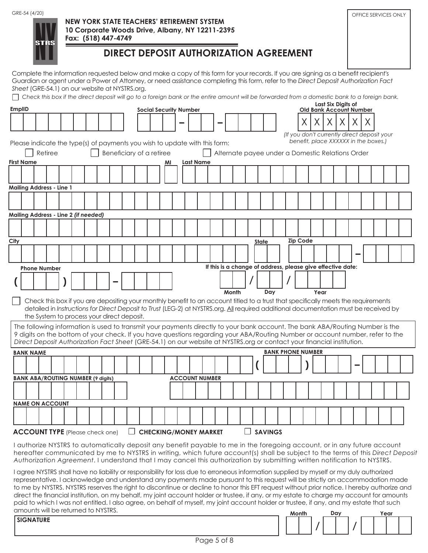GRE-54 (4/20) **CRE-54 (4/20) CRE-54 (4/20) CRE-54 (4/20) CRE-54 (4/20) CRE-54 (4/20)** 

|  | STRS |
|--|------|
|  |      |

## **NEW YORK STATE TEACHERS' RETIREMENT SYSTEM 10 Corporate Woods Drive, Albany, NY 12211-2395 Fax: (518) 447-4749**

# **DIRECT DEPOSIT AUTHORIZATION AGREEMENT**

Complete the information requested below and make a copy of this form for your records. If you are signing as a benefit recipient's Guardian or agent under a Power of Attorney, or need assistance completing this form, refer to the *Direct Deposit Authorization Fact Sheet* (GRE-54.1) on our website at NYSTRS.org.

☐ *Check this box if the direct deposit will go to a foreign bank or the entire amount will be forwarded from a domestic bank to a foreign bank.*

| <b>EmplID</b> |                   |                                                                                                                                                                                                                                                                             |         |  |  |                          |        |  | <b>Social Security Number</b> |                  |                              |                                                             |  |                |     |                          |                 |    | Last Six Digits of |   | <b>Old Bank Account Number</b> |   |                                             |                                                                                                                                 |
|---------------|-------------------|-----------------------------------------------------------------------------------------------------------------------------------------------------------------------------------------------------------------------------------------------------------------------------|---------|--|--|--------------------------|--------|--|-------------------------------|------------------|------------------------------|-------------------------------------------------------------|--|----------------|-----|--------------------------|-----------------|----|--------------------|---|--------------------------------|---|---------------------------------------------|---------------------------------------------------------------------------------------------------------------------------------|
|               |                   |                                                                                                                                                                                                                                                                             |         |  |  |                          |        |  |                               |                  |                              |                                                             |  |                |     |                          |                 | X. | X                  | X | X.                             | X |                                             |                                                                                                                                 |
|               |                   |                                                                                                                                                                                                                                                                             |         |  |  |                          |        |  |                               |                  |                              |                                                             |  |                |     |                          |                 |    |                    |   |                                |   | (If you don't currently direct deposit your |                                                                                                                                 |
|               |                   | Please indicate the type(s) of payments you wish to update with this form:                                                                                                                                                                                                  |         |  |  |                          |        |  |                               |                  |                              |                                                             |  |                |     |                          |                 |    |                    |   |                                |   | benefit, place XXXXXX in the boxes.)        |                                                                                                                                 |
|               |                   |                                                                                                                                                                                                                                                                             | Retiree |  |  | Beneficiary of a retiree |        |  |                               |                  |                              | Alternate payee under a Domestic Relations Order            |  |                |     |                          |                 |    |                    |   |                                |   |                                             |                                                                                                                                 |
|               | <b>First Name</b> |                                                                                                                                                                                                                                                                             |         |  |  |                          |        |  | ΜI                            | <b>Last Name</b> |                              |                                                             |  |                |     |                          |                 |    |                    |   |                                |   |                                             |                                                                                                                                 |
|               |                   |                                                                                                                                                                                                                                                                             |         |  |  |                          |        |  |                               |                  |                              |                                                             |  |                |     |                          |                 |    |                    |   |                                |   |                                             |                                                                                                                                 |
|               |                   | <b>Mailing Address - Line 1</b>                                                                                                                                                                                                                                             |         |  |  |                          |        |  |                               |                  |                              |                                                             |  |                |     |                          |                 |    |                    |   |                                |   |                                             |                                                                                                                                 |
|               |                   |                                                                                                                                                                                                                                                                             |         |  |  |                          |        |  |                               |                  |                              |                                                             |  |                |     |                          |                 |    |                    |   |                                |   |                                             |                                                                                                                                 |
|               |                   | Mailing Address - Line 2 (if needed)                                                                                                                                                                                                                                        |         |  |  |                          |        |  |                               |                  |                              |                                                             |  |                |     |                          |                 |    |                    |   |                                |   |                                             |                                                                                                                                 |
|               |                   |                                                                                                                                                                                                                                                                             |         |  |  |                          |        |  |                               |                  |                              |                                                             |  |                |     |                          |                 |    |                    |   |                                |   |                                             |                                                                                                                                 |
|               |                   |                                                                                                                                                                                                                                                                             |         |  |  |                          |        |  |                               |                  |                              |                                                             |  |                |     |                          |                 |    |                    |   |                                |   |                                             |                                                                                                                                 |
| City          |                   |                                                                                                                                                                                                                                                                             |         |  |  |                          |        |  |                               |                  |                              |                                                             |  | <b>State</b>   |     |                          | <b>Zip Code</b> |    |                    |   |                                |   |                                             |                                                                                                                                 |
|               |                   |                                                                                                                                                                                                                                                                             |         |  |  |                          |        |  |                               |                  |                              |                                                             |  |                |     |                          |                 |    |                    |   |                                |   |                                             |                                                                                                                                 |
|               |                   | <b>Phone Number</b>                                                                                                                                                                                                                                                         |         |  |  |                          |        |  |                               |                  |                              | If this is a change of address, please give effective date: |  |                |     |                          |                 |    |                    |   |                                |   |                                             |                                                                                                                                 |
|               |                   |                                                                                                                                                                                                                                                                             |         |  |  |                          |        |  |                               |                  |                              |                                                             |  |                |     |                          |                 |    |                    |   |                                |   |                                             |                                                                                                                                 |
|               |                   |                                                                                                                                                                                                                                                                             |         |  |  |                          |        |  |                               |                  |                              |                                                             |  |                |     |                          |                 |    |                    |   |                                |   |                                             |                                                                                                                                 |
|               |                   |                                                                                                                                                                                                                                                                             |         |  |  |                          |        |  |                               |                  |                              | Month                                                       |  |                | Day |                          |                 |    | Year               |   |                                |   |                                             |                                                                                                                                 |
|               |                   | Check this box if you are depositing your monthly benefit to an account titled to a trust that specifically meets the requirements<br>detailed in Instructions for Direct Deposit to Trust (LEG-2) at NYSTRS.org. All required additional documentation must be received by |         |  |  |                          |        |  |                               |                  |                              |                                                             |  |                |     |                          |                 |    |                    |   |                                |   |                                             |                                                                                                                                 |
|               |                   | the System to process your direct deposit.                                                                                                                                                                                                                                  |         |  |  |                          |        |  |                               |                  |                              |                                                             |  |                |     |                          |                 |    |                    |   |                                |   |                                             |                                                                                                                                 |
|               |                   | The following information is used to transmit your payments directly to your bank account. The bank ABA/Routing Number is the<br>9 digits on the bottom of your check. If you have questions regarding your ABA/Routing Number or account number, refer to the              |         |  |  |                          |        |  |                               |                  |                              |                                                             |  |                |     |                          |                 |    |                    |   |                                |   |                                             |                                                                                                                                 |
|               |                   | Direct Deposit Authorization Fact Sheet (GRE-54.1) on our website at NYSTRS.org or contact your financial institution.                                                                                                                                                      |         |  |  |                          |        |  |                               |                  |                              |                                                             |  |                |     |                          |                 |    |                    |   |                                |   |                                             |                                                                                                                                 |
|               |                   | <b>BANK NAME</b>                                                                                                                                                                                                                                                            |         |  |  |                          |        |  |                               |                  |                              |                                                             |  |                |     | <b>BANK PHONE NUMBER</b> |                 |    |                    |   |                                |   |                                             |                                                                                                                                 |
|               |                   |                                                                                                                                                                                                                                                                             |         |  |  |                          |        |  |                               |                  |                              |                                                             |  |                |     |                          |                 |    |                    |   |                                |   |                                             |                                                                                                                                 |
|               |                   | <b>BANK ABA/ROUTING NUMBER (9 digits)</b>                                                                                                                                                                                                                                   |         |  |  |                          |        |  |                               |                  | <b>ACCOUNT NUMBER</b>        |                                                             |  |                |     |                          |                 |    |                    |   |                                |   |                                             |                                                                                                                                 |
|               |                   |                                                                                                                                                                                                                                                                             |         |  |  |                          |        |  |                               |                  |                              |                                                             |  |                |     |                          |                 |    |                    |   |                                |   |                                             |                                                                                                                                 |
|               |                   | <b>NAME ON ACCOUNT</b>                                                                                                                                                                                                                                                      |         |  |  |                          |        |  |                               |                  |                              |                                                             |  |                |     |                          |                 |    |                    |   |                                |   |                                             |                                                                                                                                 |
|               |                   |                                                                                                                                                                                                                                                                             |         |  |  |                          |        |  |                               |                  |                              |                                                             |  |                |     |                          |                 |    |                    |   |                                |   |                                             |                                                                                                                                 |
|               |                   | <b>ACCOUNT TYPE</b> (Please check one)                                                                                                                                                                                                                                      |         |  |  |                          | $\Box$ |  |                               |                  | <b>CHECKING/MONEY MARKET</b> |                                                             |  | <b>SAVINGS</b> |     |                          |                 |    |                    |   |                                |   |                                             |                                                                                                                                 |
|               |                   |                                                                                                                                                                                                                                                                             |         |  |  |                          |        |  |                               |                  |                              |                                                             |  |                |     |                          |                 |    |                    |   |                                |   |                                             |                                                                                                                                 |
|               |                   | I authorize NYSTRS to automatically deposit any benefit payable to me in the foregoing account, or in any future account<br>Authorization Agreement. I understand that I may cancel this authorization by submitting written notification to NYSTRS.                        |         |  |  |                          |        |  |                               |                  |                              |                                                             |  |                |     |                          |                 |    |                    |   |                                |   |                                             | hereafter communicated by me to NYSTRS in writing, which future account(s) shall be subject to the terms of this Direct Deposit |

representative. I acknowledge and understand any payments made pursuant to this request will be strictly an accommodation made to me by NYSTRS. NYSTRS reserves the right to discontinue or decline to honor this EFT request without prior notice. I hereby authorize and direct the financial institution, on my behalf, my joint account holder or trustee, if any, or my estate to charge my account for amounts paid to which I was not entitled. I also agree, on behalf of myself, my joint account holder or trustee, if any, and my estate that such amounts will be returned to NYSTRS.

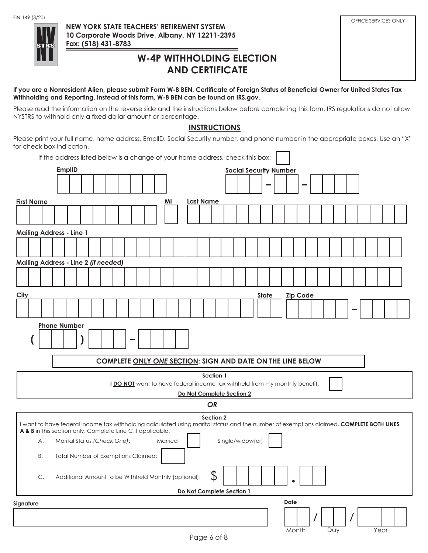

**NEW YORK STATE TEACHERS' RETIREMENT SYSTEM 10 Corporate Woods Drive, Albany, NY 12211-2395 Fax: (518) 431-8783** and the state of the

# FIN-149 (3/20)<br>
OFFICE SERVICES ONLY

# **W-4P WITHHOLDING ELECTION AND CERTIFICATE**

**If you are a Nonresident Alien, please submit Form W-8 BEN, Certificate of Foreign Status of Beneficial Owner for United States Tax Withholding and Reporting, instead of this form. W-8 BEN can be found on IRS.gov.**

Please read the information on the reverse side and the instructions below before completing this form. IRS regulations do not allow NYSTRS to withhold only a fixed dollar amount or percentage.

# **INSTRUCTIONS**

Please print your full name, home address, EmplID, Social Security number, and phone number in the appropriate boxes. Use an "X" for check box indication.

| If the address listed below is a change of your home address, check this box:                                                                                                                                      |
|--------------------------------------------------------------------------------------------------------------------------------------------------------------------------------------------------------------------|
| <b>EmplID</b><br><b>Social Security Number</b>                                                                                                                                                                     |
|                                                                                                                                                                                                                    |
| <b>Last Name</b><br><b>First Name</b><br>ΜI                                                                                                                                                                        |
|                                                                                                                                                                                                                    |
| <b>Mailing Address - Line 1</b>                                                                                                                                                                                    |
|                                                                                                                                                                                                                    |
| Mailing Address - Line 2 (if needed)                                                                                                                                                                               |
|                                                                                                                                                                                                                    |
| City<br><b>State</b><br><b>Zip Code</b>                                                                                                                                                                            |
|                                                                                                                                                                                                                    |
| <b>Phone Number</b>                                                                                                                                                                                                |
|                                                                                                                                                                                                                    |
| COMPLETE ONLY ONE SECTION; SIGN AND DATE ON THE LINE BELOW                                                                                                                                                         |
| Section 1                                                                                                                                                                                                          |
| I DO NOT want to have federal income tax withheld from my monthly benefit.<br>Do Not Complete Section 2                                                                                                            |
| OR                                                                                                                                                                                                                 |
| Section 2<br>I want to have federal income tax withholding calculated using marital status and the number of exemptions claimed, COMPLETE BOTH LINES<br>A & B in this section only. Complete Line C if applicable. |
| Single/widow(er)<br>Marital Status (Check One):<br>Married<br>А.                                                                                                                                                   |
| Total Number of Exemptions Claimed:<br>В.                                                                                                                                                                          |
|                                                                                                                                                                                                                    |
| \$<br>Additional Amount to be Withheld Monthly (optional):<br>C.<br>$\bullet$                                                                                                                                      |
| Do Not Complete Section 1                                                                                                                                                                                          |
| Date<br>Signature                                                                                                                                                                                                  |
| Month<br>Year<br>Day<br>Page 6 of 8                                                                                                                                                                                |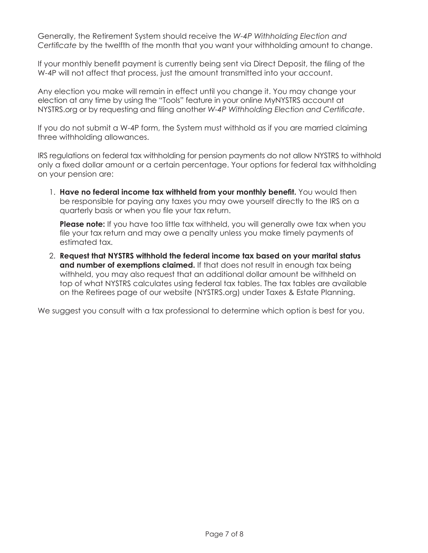Generally, the Retirement System should receive the *W-4P Withholding Election and Certificate* by the twelfth of the month that you want your withholding amount to change.

If your monthly benefit payment is currently being sent via Direct Deposit, the filing of the W-4P will not affect that process, just the amount transmitted into your account.

Any election you make will remain in effect until you change it. You may change your election at any time by using the "Tools" feature in your online MyNYSTRS account at NYSTRS.org or by requesting and filing another *W-4P Withholding Election and Certificate*.

If you do not submit a W-4P form, the System must withhold as if you are married claiming three withholding allowances.

IRS regulations on federal tax withholding for pension payments do not allow NYSTRS to withhold only a fixed dollar amount or a certain percentage. Your options for federal tax withholding on your pension are:

1. **Have no federal income tax withheld from your monthly benefit.** You would then be responsible for paying any taxes you may owe yourself directly to the IRS on a quarterly basis or when you file your tax return.

**Please note:** If you have too little tax withheld, you will generally owe tax when you file your tax return and may owe a penalty unless you make timely payments of estimated tax.

2. **Request that NYSTRS withhold the federal income tax based on your marital status**  and number of exemptions claimed. If that does not result in enough tax being withheld, you may also request that an additional dollar amount be withheld on top of what NYSTRS calculates using federal tax tables. The tax tables are available on the Retirees page of our website (NYSTRS.org) under Taxes & Estate Planning.

We suggest you consult with a tax professional to determine which option is best for you.